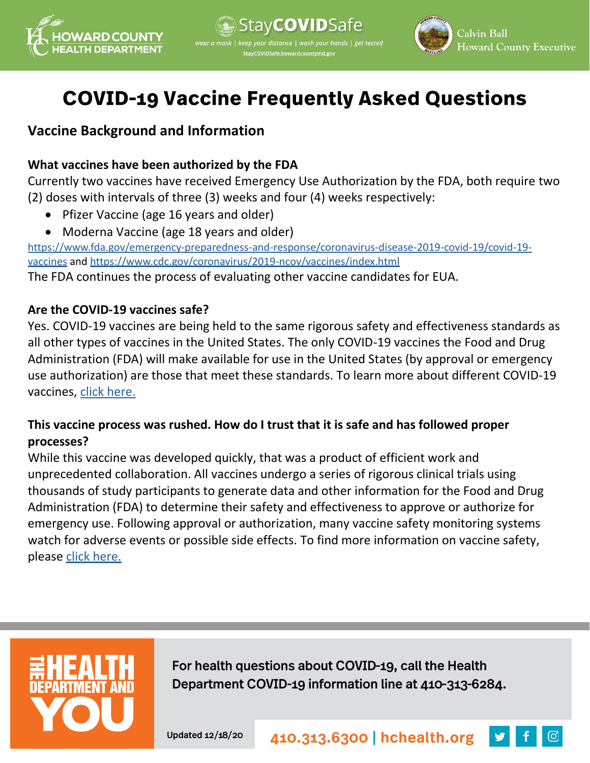



# **COVID-19 Vaccine Frequently Asked Questions**

# **Vaccine Background and Information**

## **What vaccines have been authorized by the FDA**

Currently two vaccines have received Emergency Use Authorization by the FDA, both require two (2) doses with intervals of three (3) weeks and four (4) weeks respectively:

- Pfizer Vaccine (age 16 years and older)
- Moderna Vaccine (age 18 years and older)

[https://www.fda.gov/emergency-preparedness-and-response/coronavirus-disease-2019-covid-19/covid-19](https://www.fda.gov/emergency-preparedness-and-response/coronavirus-disease-2019-covid-19/covid-19-vaccines) [vaccines](https://www.fda.gov/emergency-preparedness-and-response/coronavirus-disease-2019-covid-19/covid-19-vaccines) and<https://www.cdc.gov/coronavirus/2019-ncov/vaccines/index.html>

The FDA continues the process of evaluating other vaccine candidates for EUA.

## **Are the COVID-19 vaccines safe?**

Yes. COVID-19 vaccines are being held to the same rigorous safety and effectiveness standards as all other types of vaccines in the United States. The only COVID-19 vaccines the Food and Drug Administration (FDA) will make available for use in the United States (by approval or emergency use authorization) are those that meet these standards. To learn more about different COVID-19 vaccines, [click here.](https://www.cdc.gov/coronavirus/2019-ncov/vaccines/different-vaccines/mrna.html)

## **This vaccine process was rushed. How do I trust that it is safe and has followed proper processes?**

While this vaccine was developed quickly, that was a product of efficient work and unprecedented collaboration. All vaccines undergo a series of rigorous clinical trials using thousands of study participants to generate data and other information for the Food and Drug Administration (FDA) to determine their safety and effectiveness to approve or authorize for emergency use. Following approval or authorization, many vaccine safety monitoring systems watch for adverse events or possible side effects. To find more information on vaccine safety, please [click here.](https://www.cdc.gov/coronavirus/2019-ncov/vaccines/safety.html)



For health questions about COVID-19, call the Health Department COVID-19 information line at 410-313-6284.

Updated 12/18/20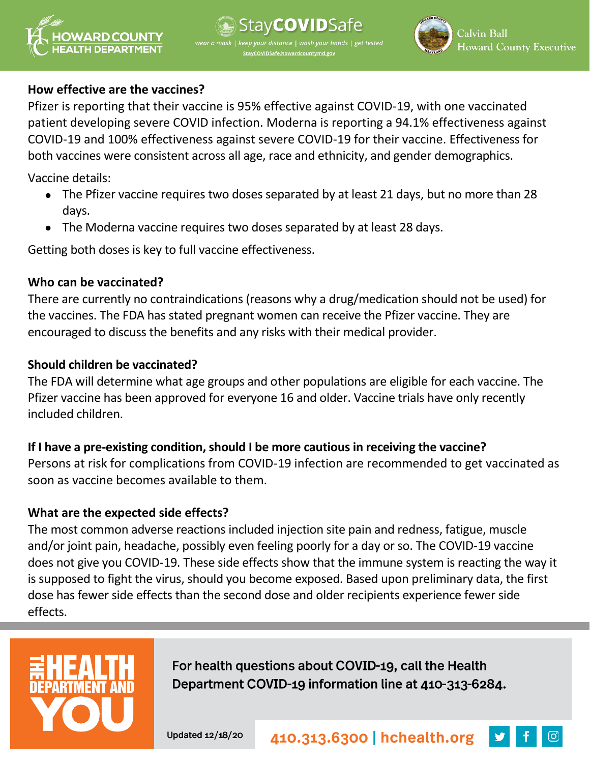



#### **How effective are the vaccines?**

Pfizer is reporting that their vaccine is 95% effective against COVID-19, with one vaccinated patient developing severe COVID infection. Moderna is reporting a 94.1% effectiveness against COVID-19 and 100% effectiveness against severe COVID-19 for their vaccine. Effectiveness for both vaccines were consistent across all age, race and ethnicity, and gender demographics.

Vaccine details:

- The Pfizer vaccine requires two doses separated by at least 21 days, but no more than 28 days.
- The Moderna vaccine requires two doses separated by at least 28 days.

Getting both doses is key to full vaccine effectiveness.

#### **Who can be vaccinated?**

There are currently no contraindications (reasons why a drug/medication should not be used) for the vaccines. The FDA has stated pregnant women can receive the Pfizer vaccine. They are encouraged to discuss the benefits and any risks with their medical provider.

#### **Should children be vaccinated?**

The FDA will determine what age groups and other populations are eligible for each vaccine. The Pfizer vaccine has been approved for everyone 16 and older. Vaccine trials have only recently included children.

## **If I have a pre-existing condition, should I be more cautious in receiving the vaccine?**

Persons at risk for complications from COVID-19 infection are recommended to get vaccinated as soon as vaccine becomes available to them.

## **What are the expected side effects?**

The most common adverse reactions included injection site pain and redness, fatigue, muscle and/or joint pain, headache, possibly even feeling poorly for a day or so. The COVID-19 vaccine does not give you COVID-19. These side effects show that the immune system is reacting the way it is supposed to fight the virus, should you become exposed. Based upon preliminary data, the first dose has fewer side effects than the second dose and older recipients experience fewer side effects.



For health questions about COVID-19, call the Health Department COVID-19 information line at 410-313-6284.

Updated 12/18/20

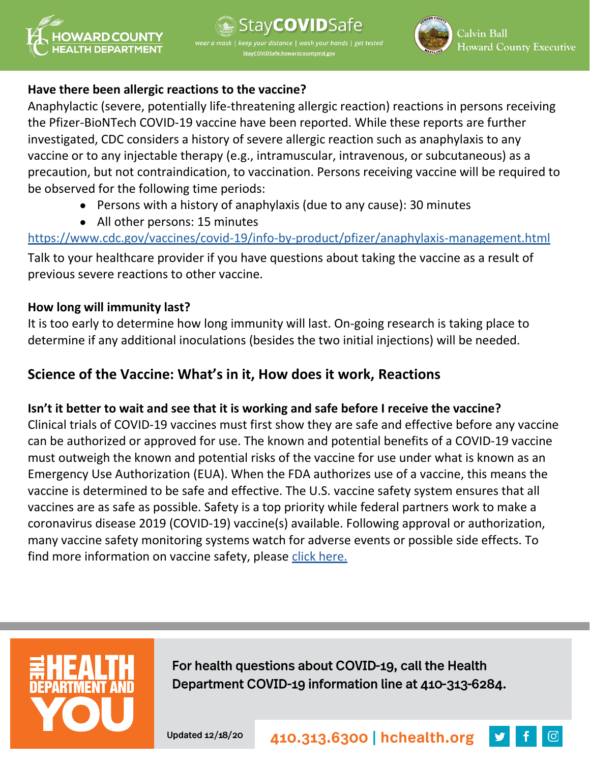



#### **Have there been allergic reactions to the vaccine?**

Anaphylactic (severe, potentially life-threatening allergic reaction) reactions in persons receiving the Pfizer-BioNTech COVID-19 vaccine have been reported. While these reports are further investigated, CDC considers a history of severe allergic reaction such as anaphylaxis to any vaccine or to any injectable therapy (e.g., intramuscular, intravenous, or subcutaneous) as a precaution, but not contraindication, to vaccination. Persons receiving vaccine will be required to be observed for the following time periods:

- Persons with a history of anaphylaxis (due to any cause): 30 minutes
- All other persons: 15 minutes

[https://www.cdc.gov/vaccines/covid-19/info-by-product/pfizer/anaphylaxis-management.html](https://gcc02.safelinks.protection.outlook.com/?url=https%3A%2F%2Fwww.cdc.gov%2Fvaccines%2Fcovid-19%2Finfo-by-product%2Fpfizer%2Fanaphylaxis-management.html&data=04%7C01%7Cldehernandez%40howardcountymd.gov%7C78723c75143f4f6e990108d8a513a9ea%7C0538130803664bb7a95b95304bd11a58%7C1%7C0%7C637440851172857706%7CUnknown%7CTWFpbGZsb3d8eyJWIjoiMC4wLjAwMDAiLCJQIjoiV2luMzIiLCJBTiI6Ik1haWwiLCJXVCI6Mn0%3D%7C1000&sdata=Jwr1tm9AwMitCYPriWFAbAANHdTIrUpdvngA3XjZoMc%3D&reserved=0) Talk to your healthcare provider if you have questions about taking the vaccine as a result of previous severe reactions to other vaccine.

## **How long will immunity last?**

It is too early to determine how long immunity will last. On-going research is taking place to determine if any additional inoculations (besides the two initial injections) will be needed.

## **Science of the Vaccine: What's in it, How does it work, Reactions**

## **Isn't it better to wait and see that it is working and safe before I receive the vaccine?**

Clinical trials of COVID-19 vaccines must first show they are safe and effective before any vaccine can be authorized or approved for use. The known and potential benefits of a COVID-19 vaccine must outweigh the known and potential risks of the vaccine for use under what is known as an Emergency Use Authorization (EUA). When the FDA authorizes use of a vaccine, this means the vaccine is determined to be safe and effective. The U.S. vaccine safety system ensures that all vaccines are as safe as possible. Safety is a top priority while federal partners work to make a coronavirus disease 2019 (COVID-19) vaccine(s) available. Following approval or authorization, many vaccine safety monitoring systems watch for adverse events or possible side effects. To find more information on vaccine safety, please [click here.](https://www.cdc.gov/coronavirus/2019-ncov/vaccines/safety.html)



For health questions about COVID-19, call the Health Department COVID-19 information line at 410-313-6284.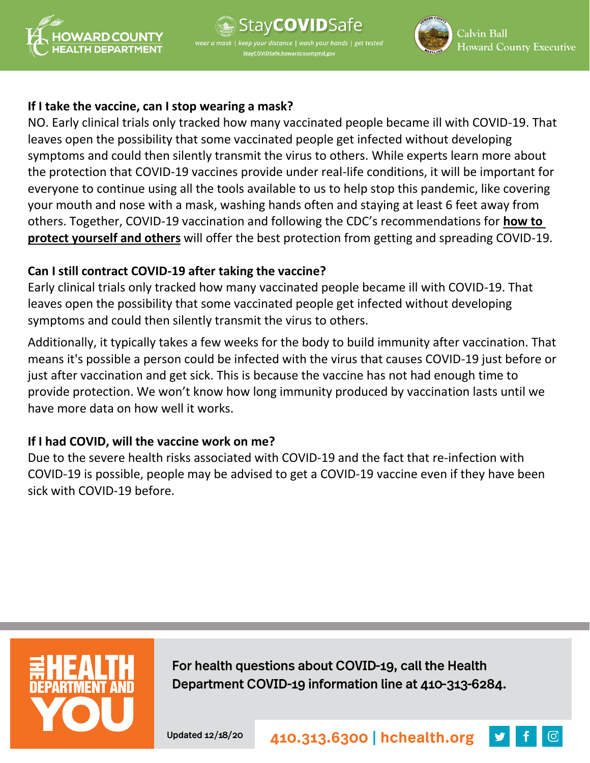





#### **If I take the vaccine, can I stop wearing a mask?**

NO. Early clinical trials only tracked how many vaccinated people became ill with COVID-19. That leaves open the possibility that some vaccinated people get infected without developing symptoms and could then silently transmit the virus to others. While experts learn more about the protection that COVID-19 vaccines provide under real-life conditions, it will be important for everyone to continue using all the tools available to us to help stop this pandemic, like covering your mouth and nose with a mask, washing hands often and staying at least 6 feet away from others. Together, COVID-19 vaccination and following the CDC's recommendations for **[how](https://gcc02.safelinks.protection.outlook.com/?url=https%3A%2F%2Fwww.cdc.gov%2Fcoronavirus%2F2019-ncov%2Fprevent-getting-sick%2Fprevention.html&data=04%7C01%7Cmwilson%40howardcountymd.gov%7C8af03d8f931140bd480f08d8a043f9b3%7C0538130803664bb7a95b95304bd11a58%7C1%7C0%7C637435561105537532%7CUnknown%7CTWFpbGZsb3d8eyJWIjoiMC4wLjAwMDAiLCJQIjoiV2luMzIiLCJBTiI6Ik1haWwiLCJXVCI6Mn0%3D%7C1000&sdata=2Uz%2F5%2B0RMRkPOzQGVKCWKVUfFzG0lThZAxMaYHRen2E%3D&reserved=0) to protect [yourself](https://gcc02.safelinks.protection.outlook.com/?url=https%3A%2F%2Fwww.cdc.gov%2Fcoronavirus%2F2019-ncov%2Fprevent-getting-sick%2Fprevention.html&data=04%7C01%7Cmwilson%40howardcountymd.gov%7C8af03d8f931140bd480f08d8a043f9b3%7C0538130803664bb7a95b95304bd11a58%7C1%7C0%7C637435561105537532%7CUnknown%7CTWFpbGZsb3d8eyJWIjoiMC4wLjAwMDAiLCJQIjoiV2luMzIiLCJBTiI6Ik1haWwiLCJXVCI6Mn0%3D%7C1000&sdata=2Uz%2F5%2B0RMRkPOzQGVKCWKVUfFzG0lThZAxMaYHRen2E%3D&reserved=0) and others** will offer the best protection from getting and spreading COVID-19.

#### **Can I still contract COVID-19 after taking the vaccine?**

Early clinical trials only tracked how many vaccinated people became ill with COVID-19. That leaves open the possibility that some vaccinated people get infected without developing symptoms and could then silently transmit the virus to others.

Additionally, it typically takes a few weeks for the body to build immunity after vaccination. That means it's possible a person could be infected with the virus that causes COVID-19 just before or just after vaccination and get sick. This is because the vaccine has not had enough time to provide protection. We won't know how long immunity produced by vaccination lasts until we have more data on how well it works.

## **If I had COVID, will the vaccine work on me?**

Due to the severe health risks associated with COVID-19 and the fact that re-infection with COVID-19 is possible, people may be advised to get a COVID-19 vaccine even if they have been sick with COVID-19 before.



For health questions about COVID-19, call the Health Department COVID-19 information line at 410-313-6284.

Updated 12/18/20

410.313.6300 | hchealth.org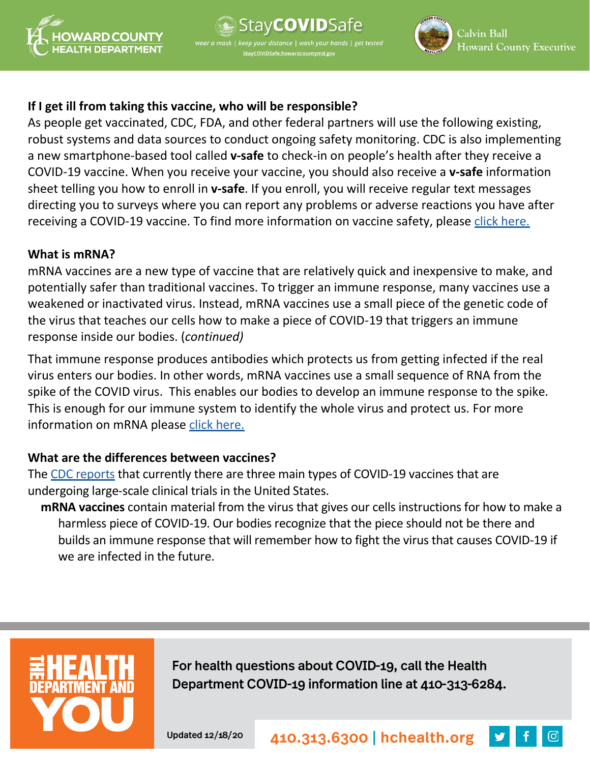



## **If I get ill from taking this vaccine, who will be responsible?**

As people get vaccinated, CDC, FDA, and other federal partners will use the following existing, robust systems and data sources to conduct ongoing safety monitoring. CDC is also implementing a new smartphone-based tool called **v-safe** to check-in on people's health after they receive a COVID-19 vaccine. When you receive your vaccine, you should also receive a **v-safe** information sheet telling you how to enroll in **v-safe**. If you enroll, you will receive regular text messages directing you to surveys where you can report any problems or adverse reactions you have after receiving a COVID-19 vaccine. To find more information on vaccine safety, please [click here.](https://www.cdc.gov/coronavirus/2019-ncov/vaccines/safety.html)

#### **What is mRNA?**

mRNA vaccines are a new type of vaccine that are relatively quick and inexpensive to make, and potentially safer than traditional vaccines. To trigger an immune response, many vaccines use a weakened or inactivated virus. Instead, mRNA vaccines use a small piece of the genetic code of the virus that teaches our cells how to make a piece of COVID-19 that triggers an immune response inside our bodies. (*continued)*

That immune response produces antibodies which protects us from getting infected if the real virus enters our bodies. In other words, mRNA vaccines use a small sequence of RNA from the spike of the COVID virus. This enables our bodies to develop an immune response to the spike. This is enough for our immune system to identify the whole virus and protect us. For more information on mRNA please [click here.](https://www.ncbi.nlm.nih.gov/pmc/articles/PMC5906799/)

## **What are the differences between vaccines?**

The [CDC reports](https://www.cdc.gov/coronavirus/2019-ncov/vaccines/different-vaccines/how-they-work.html?CDC_AA_refVal=https%3A%2F%2Fwww.cdc.gov%2Fcoronavirus%2F2019-ncov%2Fvaccines%2Fabout-vaccines%2Fhow-they-work.html) that currently there are three main types of COVID-19 vaccines that are undergoing large-scale clinical trials in the United States.

**mRNA vaccines** contain material from the virus that gives our cells instructions for how to make a harmless piece of COVID-19. Our bodies recognize that the piece should not be there and builds an immune response that will remember how to fight the virus that causes COVID-19 if we are infected in the future.



For health questions about COVID-19, call the Health Department COVID-19 information line at 410-313-6284.

Updated 12/18/20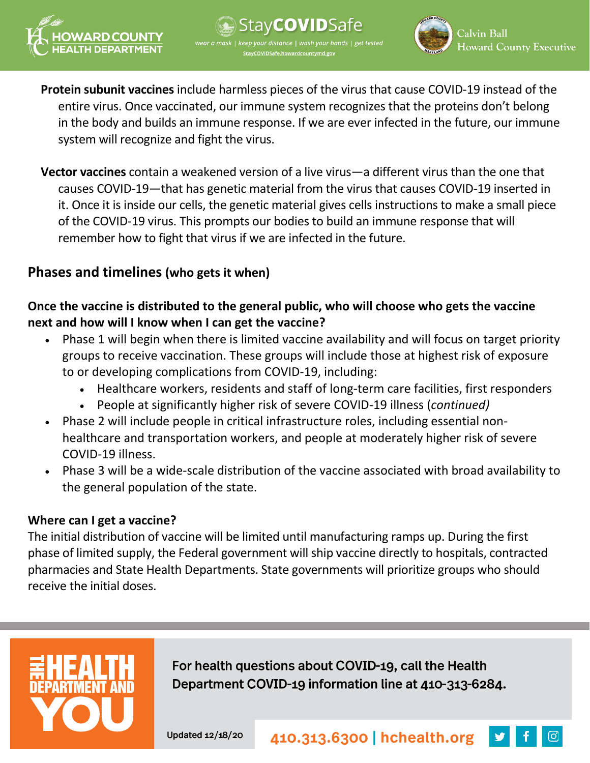

tav**COVID**Safe ur distance | wash your hands | get tested



**Protein subunit vaccines** include harmless pieces of the virus that cause COVID-19 instead of the entire virus. Once vaccinated, our immune system recognizes that the proteins don't belong in the body and builds an immune response. If we are ever infected in the future, our immune system will recognize and fight the virus.

**Vector vaccines** contain a weakened version of a live virus—a different virus than the one that causes COVID-19—that has genetic material from the virus that causes COVID-19 inserted in it. Once it is inside our cells, the genetic material gives cells instructions to make a small piece of the COVID-19 virus. This prompts our bodies to build an immune response that will remember how to fight that virus if we are infected in the future.

## **Phases and timelines (who gets it when)**

## **Once the vaccine is distributed to the general public, who will choose who gets the vaccine next and how will I know when I can get the vaccine?**

- Phase 1 will begin when there is limited vaccine availability and will focus on target priority groups to receive vaccination. These groups will include those at highest risk of exposure to or developing complications from COVID-19, including:
	- Healthcare workers, residents and staff of long-term care facilities, first responders
	- People at significantly higher risk of severe COVID-19 illness (*continued)*
- Phase 2 will include people in critical infrastructure roles, including essential nonhealthcare and transportation workers, and people at moderately higher risk of severe COVID-19 illness.
- Phase 3 will be a wide-scale distribution of the vaccine associated with broad availability to the general population of the state.

## **Where can I get a vaccine?**

The initial distribution of vaccine will be limited until manufacturing ramps up. During the first phase of limited supply, the Federal government will ship vaccine directly to hospitals, contracted pharmacies and State Health Departments. State governments will prioritize groups who should receive the initial doses.



For health questions about COVID-19, call the Health Department COVID-19 information line at 410-313-6284.

Updated 12/18/20

410.313.6300 | hchealth.org